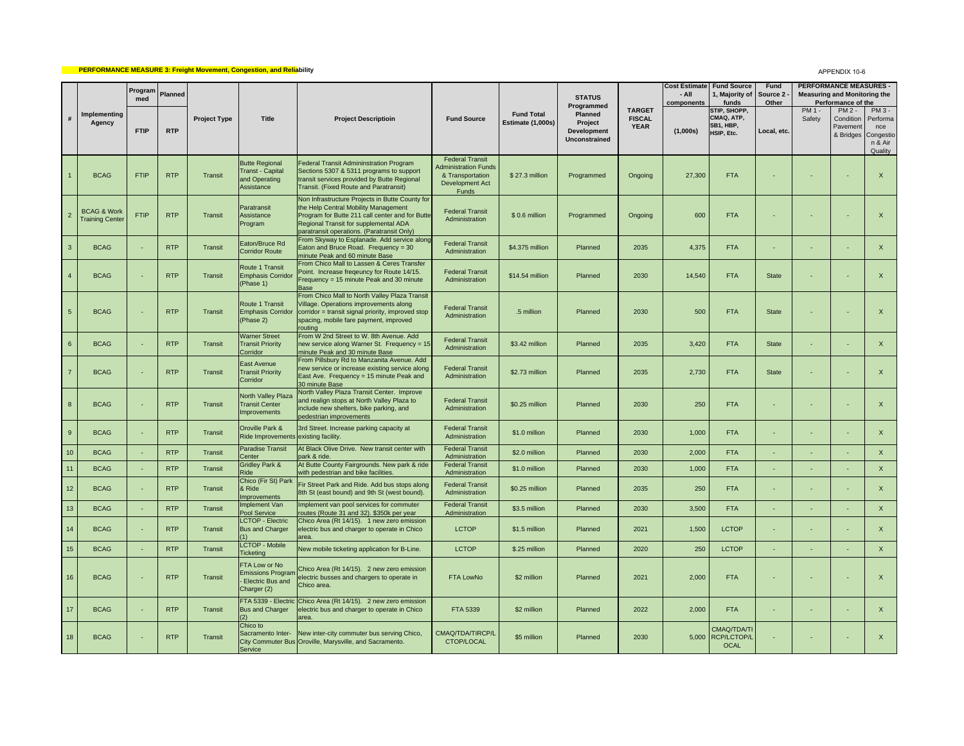## **PERFORMANCE MEASURE 3: Freight Movement, Congestion, and Reliability**

## APPENDIX 10-6

|                  |                                                  | Program            | Planned    |                     |                                                                                 |                                                                                                                                                                                                                                   |                                                                                                       |                                        | <b>STATUS</b>                                                    |                                               | <b>Cost Estimate</b><br>- All | <b>Fund Source</b><br>1, Majority of                           | <b>Fund</b><br>Source 2                  |                                                                    |                                                              | <b>PERFORMANCE MEASURES -</b><br><b>Measuring and Monitoring the</b> |  |
|------------------|--------------------------------------------------|--------------------|------------|---------------------|---------------------------------------------------------------------------------|-----------------------------------------------------------------------------------------------------------------------------------------------------------------------------------------------------------------------------------|-------------------------------------------------------------------------------------------------------|----------------------------------------|------------------------------------------------------------------|-----------------------------------------------|-------------------------------|----------------------------------------------------------------|------------------------------------------|--------------------------------------------------------------------|--------------------------------------------------------------|----------------------------------------------------------------------|--|
|                  | Implementing<br>Agency                           | med<br><b>FTIP</b> | <b>RTP</b> | <b>Project Type</b> | <b>Title</b>                                                                    | <b>Project Descriptioin</b>                                                                                                                                                                                                       | <b>Fund Source</b>                                                                                    | <b>Fund Total</b><br>Estimate (1,000s) | Programmed<br>Planned<br>Project<br>Development<br>Unconstrained | <b>TARGET</b><br><b>FISCAL</b><br><b>YEAR</b> | components<br>(1,000s)        | funds<br>STIP, SHOPP,<br>CMAQ, ATP,<br>SB1, HBP,<br>HSIP, Etc. | Other<br>PM 1 -<br>Safety<br>Local, etc. | Performance of the<br>PM 2 -<br>Condition<br>Pavement<br>& Bridges | PM 3 -<br>Performa<br>nce<br>Congestio<br>n & Air<br>Quality |                                                                      |  |
|                  | <b>BCAG</b>                                      | <b>FTIP</b>        | <b>RTP</b> | Transit             | <b>Butte Regional</b><br><b>Transt - Capital</b><br>and Operating<br>Assistance | Federal Transit Admininstration Program<br>Sections 5307 & 5311 programs to support<br>ransit services provided by Butte Regional<br><b>Transit.</b> (Fixed Route and Paratransit)                                                | <b>Federal Transit</b><br><b>Administration Funds</b><br>& Transportation<br>Development Act<br>Funds | \$27.3 million                         | Programmed                                                       | Ongoing                                       | 27,300                        | <b>FTA</b>                                                     |                                          |                                                                    | ä,                                                           | $\mathsf X$                                                          |  |
| $\overline{2}$   | <b>BCAG &amp; Work</b><br><b>Training Center</b> | <b>FTIP</b>        | <b>RTP</b> | Transit             | Paratransit<br>Assistance<br>Program                                            | Non Infrastructure Projects in Butte County for<br>the Help Central Mobility Management<br>Program for Butte 211 call center and for Butte<br>Regional Transit for supplemental ADA<br>paratransit operations. (Paratransit Only) | <b>Federal Transit</b><br>Administration                                                              | \$0.6 million                          | Programmed                                                       | Ongoing                                       | 600                           | <b>FTA</b>                                                     |                                          |                                                                    |                                                              | $\mathsf X$                                                          |  |
| $\cdot$ 3        | <b>BCAG</b>                                      |                    | <b>RTP</b> | Transit             | Eaton/Bruce Rd<br><b>Corridor Route</b>                                         | From Skyway to Esplanade. Add service along<br>aton and Bruce Road. Frequency = 30<br>ninute Peak and 60 minute Base                                                                                                              | <b>Federal Transit</b><br>Administration                                                              | \$4.375 million                        | Planned                                                          | 2035                                          | 4,375                         | <b>FTA</b>                                                     |                                          |                                                                    |                                                              | $\mathsf X$                                                          |  |
| $\overline{4}$   | <b>BCAG</b>                                      | ×.                 | <b>RTP</b> | Transit             | Route 1 Transit<br><b>Emphasis Corridor</b><br>(Phase 1)                        | From Chico Mall to Lassen & Ceres Transfer<br>Point. Increase freqeuncy for Route 14/15.<br>Frequency = 15 minute Peak and 30 minute<br>Base                                                                                      | <b>Federal Transit</b><br>Administration                                                              | \$14.54 million                        | Planned                                                          | 2030                                          | 14,540                        | <b>FTA</b>                                                     | State                                    |                                                                    |                                                              | $\mathsf{X}$                                                         |  |
| 5                | <b>BCAG</b>                                      |                    | <b>RTP</b> | Transit             | Route 1 Transit<br><b>Emphasis Corridor</b><br>(Phase 2)                        | From Chico Mall to North Valley Plaza Transit<br>/illage. Operations improvements along<br>corridor = transit signal priority, improved stop<br>spacing, mobile fare payment, improved<br>routing                                 | <b>Federal Transit</b><br>Administration                                                              | .5 million                             | Planned                                                          | 2030                                          | 500                           | <b>FTA</b>                                                     | <b>State</b>                             |                                                                    |                                                              | $\mathsf X$                                                          |  |
| 6                | <b>BCAG</b>                                      |                    | <b>RTP</b> | Transit             | <b>Warner Street</b><br><b>Transit Priority</b><br>Corridor                     | From W 2nd Street to W. 8th Avenue. Add<br>new service along Warner St. Frequency = 15<br>minute Peak and 30 minute Base                                                                                                          | <b>Federal Transit</b><br>Administration                                                              | \$3.42 million                         | Planned                                                          | 2035                                          | 3,420                         | <b>FTA</b>                                                     | State                                    |                                                                    | ä,                                                           | X                                                                    |  |
| $\overline{7}$   | <b>BCAG</b>                                      |                    | <b>RTP</b> | Transit             | East Avenue<br><b>Transit Priority</b><br>Corridor                              | From Pillsbury Rd to Manzanita Avenue. Add<br>new service or increase existing service along<br>East Ave. Frequency = 15 minute Peak and<br>30 minute Base                                                                        | <b>Federal Transit</b><br>Administration                                                              | \$2.73 million                         | Planned                                                          | 2035                                          | 2,730                         | <b>FTA</b>                                                     | State                                    |                                                                    |                                                              | $\mathsf X$                                                          |  |
| $\boldsymbol{8}$ | <b>BCAG</b>                                      | ×.                 | <b>RTP</b> | Transit             | North Valley Plaza<br><b>Transit Center</b><br><b>Improvements</b>              | North Valley Plaza Transit Center. Improve<br>and realign stops at North Valley Plaza to<br>nclude new shelters, bike parking, and<br>edestrian improvements                                                                      | <b>Federal Transit</b><br>Administration                                                              | \$0.25 million                         | Planned                                                          | 2030                                          | 250                           | <b>FTA</b>                                                     |                                          |                                                                    | ä,                                                           | $\mathsf X$                                                          |  |
| 9                | <b>BCAG</b>                                      |                    | <b>RTP</b> | Transit             | Oroville Park &<br><b>Ride Improvements</b>                                     | Brd Street. Increase parking capacity at<br>existing facility.                                                                                                                                                                    | <b>Federal Transit</b><br>Administration                                                              | \$1.0 million                          | Planned                                                          | 2030                                          | 1,000                         | <b>FTA</b>                                                     |                                          |                                                                    |                                                              | $\mathsf X$                                                          |  |
| 10 <sub>1</sub>  | <b>BCAG</b>                                      |                    | <b>RTP</b> | Transit             | <b>Paradise Transit</b><br>Center                                               | At Black Olive Drive. New transit center with<br>park & ride.                                                                                                                                                                     | <b>Federal Transit</b><br>Administration                                                              | \$2.0 million                          | Planned                                                          | 2030                                          | 2,000                         | <b>FTA</b>                                                     |                                          |                                                                    |                                                              | $\mathsf X$                                                          |  |
| 11               | <b>BCAG</b>                                      |                    | <b>RTP</b> | Transit             | <b>Gridley Park &amp;</b><br>Ride                                               | At Butte County Fairgrounds. New park & ride<br>vith pedestrian and bike facilities                                                                                                                                               | <b>Federal Transit</b><br>Administration                                                              | \$1.0 million                          | Planned                                                          | 2030                                          | 1,000                         | <b>FTA</b>                                                     |                                          |                                                                    |                                                              | $\mathsf{x}$                                                         |  |
| 12 <sup>2</sup>  | <b>BCAG</b>                                      | ÷.                 | <b>RTP</b> | Transit             | Chico (Fir St) Park<br>& Ride<br>mprovements                                    | Fir Street Park and Ride. Add bus stops along<br>8th St (east bound) and 9th St (west bound).                                                                                                                                     | <b>Federal Transit</b><br>Administration                                                              | \$0.25 million                         | Planned                                                          | 2035                                          | 250                           | <b>FTA</b>                                                     |                                          |                                                                    | ٠                                                            | $\mathsf X$                                                          |  |
| 13               | <b>BCAG</b>                                      |                    | <b>RTP</b> | Transit             | <b>Implement Van</b><br>Pool Service                                            | mplement van pool services for commuter<br>outes (Route 31 and 32). \$350k per year                                                                                                                                               | <b>Federal Transit</b><br>Administration                                                              | \$3.5 million                          | Planned                                                          | 2030                                          | 3,500                         | <b>FTA</b>                                                     |                                          |                                                                    |                                                              | $\mathsf X$                                                          |  |
| 14               | <b>BCAG</b>                                      |                    | <b>RTP</b> | Transit             | <b>LCTOP - Electric</b><br><b>Bus and Charger</b><br>(1)                        | Chico Area (Rt 14/15). 1 new zero emission<br>lectric bus and charger to operate in Chico<br>area                                                                                                                                 | <b>LCTOP</b>                                                                                          | \$1.5 million                          | Planned                                                          | 2021                                          | 1,500                         | <b>LCTOP</b>                                                   |                                          |                                                                    |                                                              | $\mathsf X$                                                          |  |
| 15               | <b>BCAG</b>                                      |                    | <b>RTP</b> | Transit             | <b>LCTOP - Mobile</b><br><b>Ticketing</b>                                       | New mobile ticketing application for B-Line.                                                                                                                                                                                      | <b>LCTOP</b>                                                                                          | \$.25 million                          | Planned                                                          | 2020                                          | 250                           | <b>LCTOP</b>                                                   |                                          |                                                                    |                                                              | $\mathsf{X}$                                                         |  |
| 16               | <b>BCAG</b>                                      |                    | <b>RTP</b> | Transit             | FTA Low or No<br><b>Emissions Program</b><br>Electric Bus and<br>Charger (2)    | Chico Area (Rt 14/15). 2 new zero emission<br>lectric busses and chargers to operate in<br>Chico area.                                                                                                                            | FTA LowNo                                                                                             | \$2 million                            | Planned                                                          | 2021                                          | 2.000                         | <b>FTA</b>                                                     |                                          |                                                                    |                                                              | $\mathsf{x}$                                                         |  |
| 17               | <b>BCAG</b>                                      |                    | <b>RTP</b> | Transit             | FTA 5339 - Electric<br><b>Bus and Charger</b><br>(2)                            | Chico Area (Rt 14/15). 2 new zero emission<br>electric bus and charger to operate in Chico<br>area.                                                                                                                               | FTA 5339                                                                                              | \$2 million                            | Planned                                                          | 2022                                          | 2,000                         | <b>FTA</b>                                                     |                                          |                                                                    |                                                              | X                                                                    |  |
| 18               | <b>BCAG</b>                                      |                    | <b>RTP</b> | Transit             | Chico to<br>Sacramento Inter-<br>Service                                        | New inter-city commuter bus serving Chico,<br>City Commuter Bus Oroville, Marysville, and Sacramento.                                                                                                                             | CMAQ/TDA/TIRCP/L<br>CTOP/LOCAL                                                                        | \$5 million                            | Planned                                                          | 2030                                          |                               | CMAQ/TDA/TI<br>5,000 RCP/LCTOP/L<br><b>OCAL</b>                |                                          |                                                                    |                                                              | X                                                                    |  |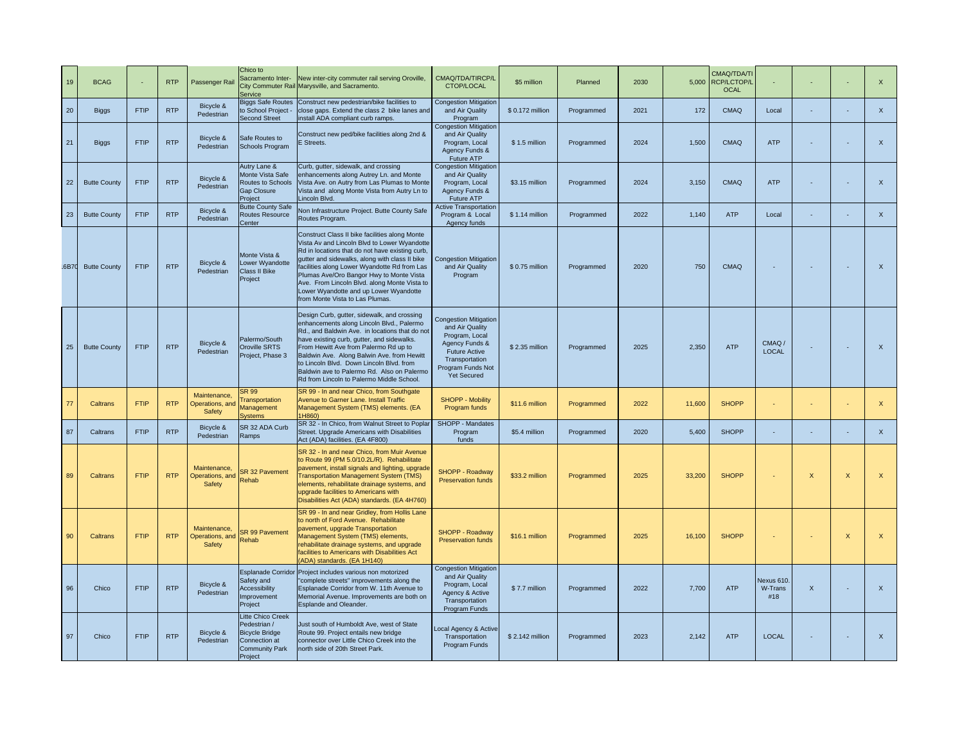| 19          | <b>BCAG</b>         |             | <b>RTP</b> | Passenger Rail                            | Chico to<br>Sacramento Inter-<br>Service                                                                               | New inter-city commuter rail serving Oroville,<br>City Commuter Rail Marysville, and Sacramento.                                                                                                                                                                                                                                                                                                                            | CMAQ/TDA/TIRCP/L<br>CTOP/LOCAL                                                                                                                                           | \$5 million      | Planned    | 2030 | 5.000  | CMAQ/TDA/TI<br><b>RCP/LCTOP/L</b><br><b>OCAL</b> |                              |              |              | $\mathsf{x}$              |
|-------------|---------------------|-------------|------------|-------------------------------------------|------------------------------------------------------------------------------------------------------------------------|-----------------------------------------------------------------------------------------------------------------------------------------------------------------------------------------------------------------------------------------------------------------------------------------------------------------------------------------------------------------------------------------------------------------------------|--------------------------------------------------------------------------------------------------------------------------------------------------------------------------|------------------|------------|------|--------|--------------------------------------------------|------------------------------|--------------|--------------|---------------------------|
| 20          | <b>Biggs</b>        | <b>FTIP</b> | <b>RTP</b> | Bicycle &<br>Pedestrian                   | <b>Biggs Safe Routes</b><br>to School Project -<br><b>Second Street</b>                                                | Construct new pedestrian/bike facilities to<br>close gaps. Extend the class 2 bike lanes and<br>nstall ADA compliant curb ramps.                                                                                                                                                                                                                                                                                            | <b>Congestion Mitigation</b><br>and Air Quality<br>Program                                                                                                               | \$ 0.172 million | Programmed | 2021 | 172    | CMAQ                                             | Local                        |              |              | $\mathsf{x}$              |
| 21          | <b>Biggs</b>        | FTIP        | <b>RTP</b> | Bicycle &<br>Pedestrian                   | Safe Routes to<br>Schools Program                                                                                      | Construct new ped/bike facilities along 2nd &<br>Streets.                                                                                                                                                                                                                                                                                                                                                                   | <b>Congestion Mitigation</b><br>and Air Quality<br>Program, Local<br>Agency Funds &<br>Future ATP                                                                        | \$1.5 million    | Programmed | 2024 | 1,500  | CMAQ                                             | <b>ATP</b>                   |              | ×.           | $\boldsymbol{\mathsf{x}}$ |
| 22          | <b>Butte County</b> | <b>FTIP</b> | <b>RTP</b> | Bicycle &<br>Pedestrian                   | Autry Lane &<br>Monte Vista Safe<br>Routes to Schools<br><b>Gap Closure</b><br>Project                                 | Curb, gutter, sidewalk, and crossing<br>nhancements along Autrey Ln. and Monte<br>Vista Ave. on Autry from Las Plumas to Monte<br>/ista and along Monte Vista from Autry Ln to<br>incoln Blvd.                                                                                                                                                                                                                              | <b>Congestion Mitigation</b><br>and Air Quality<br>Program, Local<br>Agency Funds &<br>Future ATP                                                                        | \$3.15 million   | Programmed | 2024 | 3,150  | CMAQ                                             | <b>ATP</b>                   |              | ÷            | $\boldsymbol{\mathsf{x}}$ |
| 23          | <b>Butte County</b> | <b>FTIP</b> | <b>RTP</b> | Bicycle &<br>Pedestrian                   | <b>Butte County Safe</b><br>Routes Resource<br>Center                                                                  | Von Infrastructure Project. Butte County Safe<br>Routes Program.                                                                                                                                                                                                                                                                                                                                                            | <b>Active Transportation</b><br>Program & Local<br>Agency funds                                                                                                          | \$1.14 million   | Programmed | 2022 | 1,140  | <b>ATP</b>                                       | Local                        |              |              | $\mathsf X$               |
| <b>6B70</b> | <b>Butte County</b> | <b>FTIP</b> | <b>RTP</b> | Bicycle &<br>Pedestrian                   | Monte Vista &<br>Lower Wyandotte<br>Class II Bike<br>Project                                                           | Construct Class II bike facilities along Monte<br>Vista Av and Lincoln Blvd to Lower Wyandotte<br>Rd in locations that do not have existing curb,<br>jutter and sidewalks, along with class II bike<br>acilities along Lower Wyandotte Rd from Las<br>Plumas Ave/Oro Bangor Hwy to Monte Vista<br>Ave. From Lincoln Blvd. along Monte Vista to<br>Lower Wyandotte and up Lower Wyandotte<br>from Monte Vista to Las Plumas. | <b>Congestion Mitigation</b><br>and Air Quality<br>Program                                                                                                               | \$ 0.75 million  | Programmed | 2020 | 750    | CMAQ                                             |                              |              |              | $\mathsf{x}$              |
| 25          | <b>Butte County</b> | <b>FTIP</b> | <b>RTP</b> | Bicycle &<br>Pedestrian                   | Palermo/South<br>Oroville SRTS<br>Project, Phase 3                                                                     | Design Curb, gutter, sidewalk, and crossing<br>enhancements along Lincoln Blvd., Palermo<br>Rd., and Baldwin Ave. in locations that do not<br>have existing curb, gutter, and sidewalks.<br>From Hewitt Ave from Palermo Rd up to<br>Baldwin Ave. Along Balwin Ave. from Hewitt<br>to Lincoln Blvd. Down Lincoln Blvd. from<br>Baldwin ave to Palermo Rd. Also on Palermo<br>Rd from Lincoln to Palermo Middle School.      | <b>Congestion Mitigation</b><br>and Air Quality<br>Program, Local<br>Agency Funds &<br><b>Future Active</b><br>Transportation<br>Program Funds Not<br><b>Yet Secured</b> | \$2.35 million   | Programmed | 2025 | 2,350  | ATP                                              | CMAQ/<br>LOCAL               |              | $\sim$       | $\mathsf X$               |
| 77          | Caltrans            | <b>FTIP</b> | <b>RTP</b> | Maintenance,<br>Operations, and<br>Safety | SR 99<br>Transportation<br>Management<br><b>Systems</b>                                                                | SR 99 - In and near Chico, from Southgate<br>Avenue to Garner Lane. Install Traffic<br>Management System (TMS) elements. (EA<br>H860)                                                                                                                                                                                                                                                                                       | <b>SHOPP - Mobility</b><br>Program funds                                                                                                                                 | \$11.6 million   | Programmed | 2022 | 11,600 | <b>SHOPP</b>                                     |                              |              |              | $\mathsf X$               |
| 87          | Caltrans            | <b>FTIP</b> | <b>RTP</b> | Bicycle &<br>Pedestrian                   | SR 32 ADA Curb<br>Ramps                                                                                                | SR 32 - In Chico, from Walnut Street to Poplar<br>Street. Upgrade Americans with Disabilities<br>Act (ADA) facilities. (EA 4F800)                                                                                                                                                                                                                                                                                           | SHOPP - Mandates<br>Program<br>funds                                                                                                                                     | \$5.4 million    | Programmed | 2020 | 5,400  | <b>SHOPP</b>                                     |                              |              |              | $\boldsymbol{\mathsf{x}}$ |
| 89          | Caltrans            | <b>FTIP</b> | <b>RTP</b> | Maintenance.<br>Operations, and<br>Safety | SR 32 Pavement<br>Rehab                                                                                                | SR 32 - In and near Chico, from Muir Avenue<br>to Route 99 (PM 5.0/10.2L/R). Rehabilitate<br>pavement, install signals and lighting, upgrade<br><b>Fransportation Management System (TMS)</b><br>elements, rehabilitate drainage systems, and<br>upgrade facilities to Americans with<br>Disabilities Act (ADA) standards. (EA 4H760)                                                                                       | SHOPP - Roadway<br><b>Preservation funds</b>                                                                                                                             | \$33.2 million   | Programmed | 2025 | 33,200 | <b>SHOPP</b>                                     |                              | $\mathsf{x}$ | $\mathsf{X}$ | $\mathsf{X}$              |
| 90          | Caltrans            | <b>FTIP</b> | <b>RTP</b> | Maintenance,<br>Operations, and<br>Safety | SR 99 Pavement<br>Rehab                                                                                                | SR 99 - In and near Gridley, from Hollis Lane<br>to north of Ford Avenue. Rehabilitate<br>avement, upgrade Transportation<br>Management System (TMS) elements,<br>rehabilitate drainage systems, and upgrade<br>facilities to Americans with Disabilities Act<br>ADA) standards. (EA 1H140)                                                                                                                                 | <b>SHOPP - Roadway</b><br><b>Preservation funds</b>                                                                                                                      | \$16.1 million   | Programmed | 2025 | 16,100 | <b>SHOPP</b>                                     |                              |              | X            | $\boldsymbol{\mathsf{x}}$ |
| 96          | Chico               | <b>FTIP</b> | <b>RTP</b> | Bicycle &<br>Pedestrian                   | Safety and<br><b>Accessibility</b><br>mprovement<br>Project                                                            | Esplanade Corridor Project includes various non motorized<br>complete streets" improvements along the<br>Esplanade Corridor from W. 11th Avenue to<br>Memorial Avenue. Improvements are both on<br>Esplande and Oleander.                                                                                                                                                                                                   | <b>Congestion Mitigation</b><br>and Air Quality<br>Program, Local<br>Agency & Active<br>Transportation<br>Program Funds                                                  | \$7.7 million    | Programmed | 2022 | 7,700  | <b>ATP</b>                                       | Nexus 610.<br>W-Trans<br>#18 | $\mathsf X$  |              | $\mathsf X$               |
| 97          | Chico               | <b>FTIP</b> | <b>RTP</b> | Bicycle &<br>Pedestrian                   | <b>Litte Chico Creek</b><br>Pedestrian /<br><b>Bicycle Bridge</b><br>Connection at<br><b>Community Park</b><br>Project | Just south of Humboldt Ave, west of State<br>Route 99. Project entails new bridge<br>connector over Little Chico Creek into the<br>north side of 20th Street Park.                                                                                                                                                                                                                                                          | ocal Agency & Active<br>Transportation<br>Program Funds                                                                                                                  | \$2.142 million  | Programmed | 2023 | 2,142  | <b>ATP</b>                                       | <b>LOCAL</b>                 |              |              | $\mathsf X$               |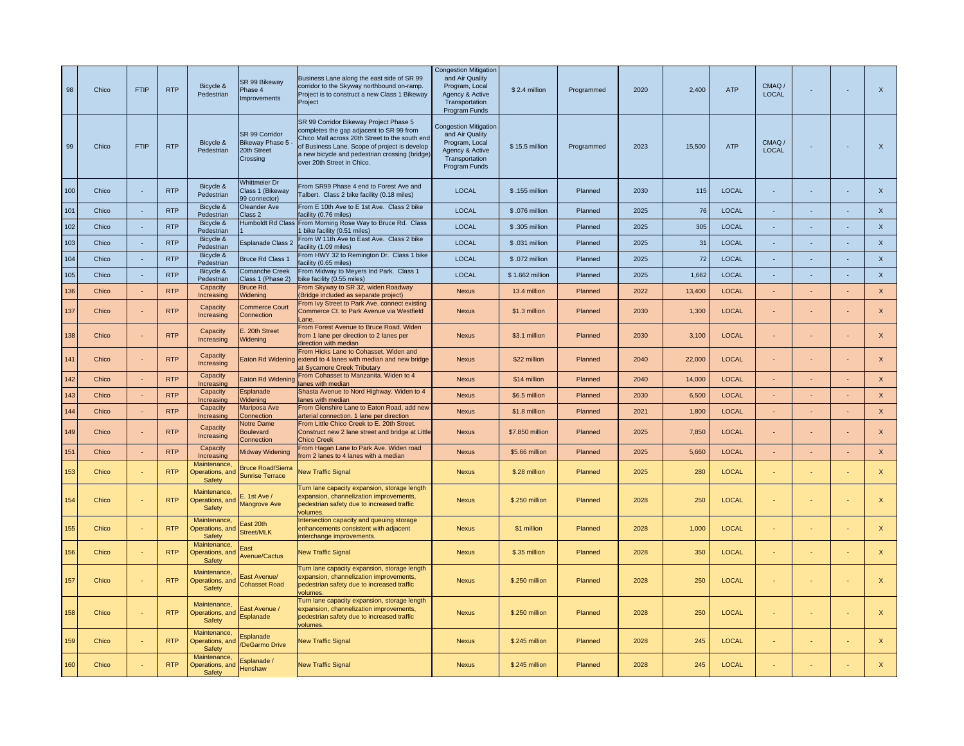| 98  | Chico | <b>FTIP</b>                 | <b>RTP</b> | Bicycle &<br>Pedestrian                   | SR 99 Bikeway<br>Phase 4<br><b>Improvements</b>                | Business Lane along the east side of SR 99<br>corridor to the Skyway northbound on-ramp.<br>Project is to construct a new Class 1 Bikeway<br>Project                                                                                                                  | <b>Congestion Mitigation</b><br>and Air Quality<br>Program, Local<br>Agency & Active<br>Transportation<br>Program Funds | \$2.4 million   | Programmed | 2020 | 2,400  | ATP          | CMAQ/<br><b>LOCAL</b> |        | $\sim$ | $\boldsymbol{\mathsf{x}}$ |
|-----|-------|-----------------------------|------------|-------------------------------------------|----------------------------------------------------------------|-----------------------------------------------------------------------------------------------------------------------------------------------------------------------------------------------------------------------------------------------------------------------|-------------------------------------------------------------------------------------------------------------------------|-----------------|------------|------|--------|--------------|-----------------------|--------|--------|---------------------------|
| 99  | Chico | <b>FTIP</b>                 | <b>RTP</b> | Bicycle &<br>Pedestrian                   | SR 99 Corridor<br>Bikeway Phase 5 -<br>20th Street<br>Crossing | SR 99 Corridor Bikeway Project Phase 5<br>completes the gap adjacent to SR 99 from<br>Chico Mall across 20th Street to the south end<br>of Business Lane. Scope of project is develop<br>a new bicycle and pedestrian crossing (bridge)<br>over 20th Street in Chico. | <b>Congestion Mitigation</b><br>and Air Quality<br>Program, Local<br>Agency & Active<br>Transportation<br>Program Funds | \$15.5 million  | Programmed | 2023 | 15,500 | <b>ATP</b>   | CMAQ/<br><b>LOCAL</b> |        |        | $\mathsf X$               |
| 100 | Chico | ×.                          | <b>RTP</b> | Bicycle &<br>Pedestrian                   | <b>Nhittmeier Dr</b><br>Class 1 (Bikeway<br>99 connector)      | From SR99 Phase 4 end to Forest Ave and<br>albert. Class 2 bike facility (0.18 miles)                                                                                                                                                                                 | LOCAL                                                                                                                   | \$.155 million  | Planned    | 2030 | 115    | <b>LOCAL</b> |                       | ×.     |        | $\mathsf X$               |
| 101 | Chico | $\sim$                      | <b>RTP</b> | Bicycle &<br>Pedestrian                   | Oleander Ave<br>Class 2                                        | From E 10th Ave to E 1st Ave. Class 2 bike<br>acility (0.76 miles)                                                                                                                                                                                                    | LOCAL                                                                                                                   | \$.076 million  | Planned    | 2025 | 76     | <b>LOCAL</b> | ×.                    | $\sim$ | $\sim$ | $\mathsf X$               |
| 102 | Chico | $\sim$                      | <b>RTP</b> | Bicycle &<br>Pedestrian                   | Humboldt Rd Class                                              | From Morning Rose Way to Bruce Rd. Class<br>bike facility (0.51 miles)                                                                                                                                                                                                | <b>LOCAL</b>                                                                                                            | \$.305 million  | Planned    | 2025 | 305    | <b>LOCAL</b> |                       | ÷.     | ÷.     | $\boldsymbol{\mathsf{x}}$ |
| 103 | Chico | $\epsilon$                  | <b>RTP</b> | Bicycle &<br>Pedestrian                   | Esplanade Class 2                                              | From W 11th Ave to East Ave. Class 2 bike<br>acility (1.09 miles)                                                                                                                                                                                                     | <b>LOCAL</b>                                                                                                            | \$ .031 million | Planned    | 2025 | 31     | <b>LOCAL</b> |                       | ÷.     | $\sim$ | $\mathsf{x}$              |
| 104 | Chico |                             | <b>RTP</b> | Bicycle &<br>Pedestrian                   | <b>Bruce Rd Class 1</b>                                        | From HWY 32 to Remington Dr. Class 1 bike<br>acility (0.65 miles)                                                                                                                                                                                                     | <b>LOCAL</b>                                                                                                            | \$.072 million  | Planned    | 2025 | 72     | <b>LOCAL</b> |                       |        |        | $\boldsymbol{\mathsf{x}}$ |
| 105 | Chico | ÷.                          | <b>RTP</b> | Bicycle &<br>Pedestrian                   | <b>Comanche Creek</b><br>Class 1 (Phase 2)                     | From Midway to Meyers Ind Park. Class 1<br>ike facility (0.55 miles)                                                                                                                                                                                                  | LOCAL                                                                                                                   | \$1.662 million | Planned    | 2025 | 1,662  | <b>LOCAL</b> |                       | ÷.     | ÷.     | $\mathsf X$               |
| 136 | Chico | ÷.                          | <b>RTP</b> | Capacity<br>Increasing                    | Bruce Rd.<br><b>Nidening</b>                                   | from Skyway to SR 32, widen Roadway<br>Bridge included as separate project)                                                                                                                                                                                           | <b>Nexus</b>                                                                                                            | 13.4 million    | Planned    | 2022 | 13,400 | <b>LOCAL</b> |                       |        |        | $\mathsf{x}$              |
| 137 | Chico | $\sim$                      | <b>RTP</b> | Capacity<br>Increasing                    | <b>Commerce Court</b><br>Connection                            | From Ivy Street to Park Ave. connect existing<br>Commerce Ct. to Park Avenue via Westfield<br>ane.                                                                                                                                                                    | <b>Nexus</b>                                                                                                            | \$1.3 million   | Planned    | 2030 | 1.300  | <b>LOCAL</b> |                       |        | $\sim$ | $\mathsf{x}$              |
| 138 | Chico | $\sim$                      | <b>RTP</b> | Capacity<br>Increasing                    | E. 20th Street<br>Widening                                     | From Forest Avenue to Bruce Road. Widen<br>from 1 lane per direction to 2 lanes per<br>direction with median                                                                                                                                                          | <b>Nexus</b>                                                                                                            | \$3.1 million   | Planned    | 2030 | 3.100  | <b>LOCAL</b> |                       |        |        | $\mathsf X$               |
| 141 | Chico | $\sim$                      | <b>RTP</b> | Capacity<br>Increasing                    |                                                                | From Hicks Lane to Cohasset. Widen and<br>Eaton Rd Widening extend to 4 lanes with median and new bridge<br>t Sycamore Creek Tributary                                                                                                                                | <b>Nexus</b>                                                                                                            | \$22 million    | Planned    | 2040 | 22,000 | <b>LOCAL</b> |                       |        |        | $\mathsf{x}$              |
| 142 | Chico | $\mathcal{L}_{\mathcal{A}}$ | <b>RTP</b> | Capacity<br>Increasing                    | Eaton Rd Widening                                              | From Cohasset to Manzanita. Widen to 4<br>anes with median                                                                                                                                                                                                            | <b>Nexus</b>                                                                                                            | \$14 million    | Planned    | 2040 | 14,000 | <b>LOCAL</b> |                       |        |        | $\mathsf{X}$              |
| 143 | Chico | $\blacksquare$              | <b>RTP</b> | Capacity<br>Increasing                    | splanade<br>Videning                                           | Shasta Avenue to Nord Highway. Widen to 4<br>anes with median                                                                                                                                                                                                         | Nexus                                                                                                                   | \$6.5 million   | Planned    | 2030 | 6,500  | <b>LOCAL</b> |                       |        |        | $\mathsf X$               |
| 144 | Chico | $\sim$                      | <b>RTP</b> | Capacity<br>Increasing                    | Mariposa Ave<br><b>Connection</b>                              | From Glenshire Lane to Eaton Road, add new<br>arterial connection. 1 lane per direction                                                                                                                                                                               | <b>Nexus</b>                                                                                                            | \$1.8 million   | Planned    | 2021 | 1,800  | <b>LOCAL</b> | $\blacksquare$        |        | $\sim$ | $\mathsf X$               |
| 149 | Chico | ÷.                          | <b>RTP</b> | Capacity<br>Increasing                    | Notre Dame<br>Boulevard<br>Connection                          | From Little Chico Creek to E. 20th Street<br>Construct new 2 lane street and bridge at Little<br>hico Creek                                                                                                                                                           | <b>Nexus</b>                                                                                                            | \$7.850 million | Planned    | 2025 | 7,850  | <b>LOCAL</b> |                       |        | ×.     | $\boldsymbol{\mathsf{x}}$ |
| 151 | Chico | $\mathcal{L}_{\mathcal{A}}$ | <b>RTP</b> | Capacity<br>Increasing                    | <b>Midway Widening</b>                                         | From Hagan Lane to Park Ave. Widen road<br>rom 2 lanes to 4 lanes with a median                                                                                                                                                                                       | <b>Nexus</b>                                                                                                            | \$5.66 million  | Planned    | 2025 | 5,660  | <b>LOCAL</b> |                       |        |        | $\mathsf{x}$              |
| 153 | Chico | ÷.                          | <b>RTP</b> | Maintenance,<br>Operations, and<br>Safety | <b>Bruce Road/Sierra</b><br><b>Sunrise Terrace</b>             | <b>New Traffic Signal</b>                                                                                                                                                                                                                                             | <b>Nexus</b>                                                                                                            | \$.28 million   | Planned    | 2025 | 280    | <b>LOCAL</b> |                       |        | $\sim$ | $\mathsf{X}$              |
| 154 | Chico | ä,                          | <b>RTP</b> | Maintenance,<br>Operations, and<br>Safety | $E.$ 1st Ave /<br><b>Mangrove Ave</b>                          | Turn lane capacity expansion, storage length<br>expansion, channelization improvements,<br>pedestrian safety due to increased traffic<br>olumes.                                                                                                                      | <b>Nexus</b>                                                                                                            | \$.250 million  | Planned    | 2028 | 250    | <b>LOCAL</b> |                       |        |        | $\mathsf{x}$              |
| 155 | Chico | $\blacksquare$              | <b>RTP</b> | Maintenance,<br>Operations, and<br>Safety | East 20th<br>Street/MLK                                        | Intersection capacity and queuing storage<br>enhancements consistent with adjacent<br>interchange improvements.                                                                                                                                                       | <b>Nexus</b>                                                                                                            | \$1 million     | Planned    | 2028 | 1,000  | <b>LOCAL</b> |                       |        | ÷      | $\mathsf{x}$              |
| 156 | Chico | ÷.                          | <b>RTP</b> | Maintenance<br>Operations, and<br>Safety  | East<br>Avenue/Cactus                                          | <b>New Traffic Signal</b>                                                                                                                                                                                                                                             | <b>Nexus</b>                                                                                                            | \$.35 million   | Planned    | 2028 | 350    | <b>LOCAL</b> | ÷                     |        | $\sim$ | $\mathsf X$               |
| 157 | Chico | ÷.                          | <b>RTP</b> | Maintenance,<br>Operations, and<br>Safety | East Avenue/<br><b>Cohasset Road</b>                           | Turn lane capacity expansion, storage length<br>expansion, channelization improvements,<br>pedestrian safety due to increased traffic<br>olumes.                                                                                                                      | <b>Nexus</b>                                                                                                            | \$.250 million  | Planned    | 2028 | 250    | <b>LOCAL</b> |                       |        | $\sim$ | $\mathsf{x}$              |
| 158 | Chico | ÷                           | <b>RTP</b> | Maintenance,<br>Operations, and<br>Safety | East Avenue /<br>Esplanade                                     | Turn lane capacity expansion, storage length<br>expansion, channelization improvements,<br>pedestrian safety due to increased traffic<br>volumes.                                                                                                                     | Nexus                                                                                                                   | \$.250 million  | Planned    | 2028 | 250    | <b>LOCAL</b> |                       |        | ÷      | $\mathsf X$               |
| 159 | Chico |                             | <b>RTP</b> | Maintenance,<br>Operations, and<br>Safety | Esplanade<br>DeGarmo Drive                                     | <b>New Traffic Signal</b>                                                                                                                                                                                                                                             | <b>Nexus</b>                                                                                                            | \$.245 million  | Planned    | 2028 | 245    | <b>LOCAL</b> |                       | ×.     | ÷      | $\mathsf{x}$              |
| 160 | Chico |                             | <b>RTP</b> | Maintenance,<br>Operations, and<br>Safety | Esplanade /<br>Henshaw                                         | <b>New Traffic Signal</b>                                                                                                                                                                                                                                             | <b>Nexus</b>                                                                                                            | \$.245 million  | Planned    | 2028 | 245    | <b>LOCAL</b> |                       |        |        | $\mathsf{x}$              |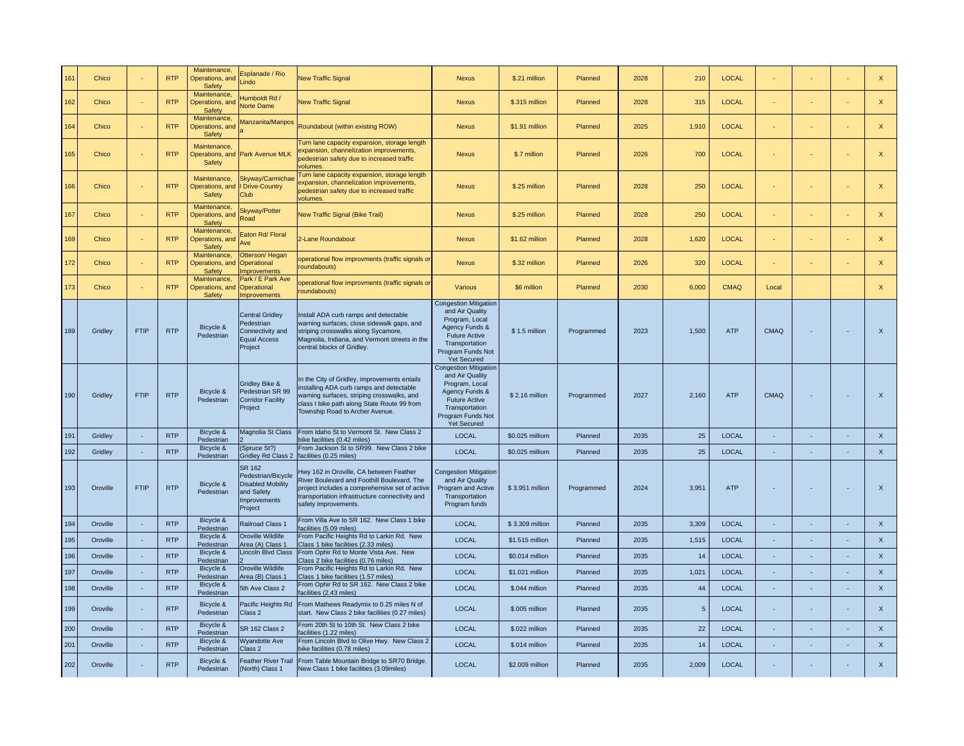| 161 | Chico    |              | <b>RTP</b> | Maintenance<br>Operations, and<br><b>Safety</b>  | <b>Esplanade / Rio</b><br>.indo                                                                                 | <b>New Traffic Signal</b>                                                                                                                                                                                               | <b>Nexus</b>                                                                                                                                                             | \$.21 million   | Planned    | 2028 | 210            | <b>LOCAL</b> |                          |    |                          | $\mathsf{x}$              |
|-----|----------|--------------|------------|--------------------------------------------------|-----------------------------------------------------------------------------------------------------------------|-------------------------------------------------------------------------------------------------------------------------------------------------------------------------------------------------------------------------|--------------------------------------------------------------------------------------------------------------------------------------------------------------------------|-----------------|------------|------|----------------|--------------|--------------------------|----|--------------------------|---------------------------|
| 162 | Chico    |              | <b>RTP</b> | Maintenance<br>Operations, and<br><b>Safety</b>  | lumboldt Rd /<br><b>Norte Dame</b>                                                                              | <b>New Traffic Signal</b>                                                                                                                                                                                               | <b>Nexus</b>                                                                                                                                                             | \$.315 million  | Planned    | 2028 | 315            | <b>LOCAL</b> |                          |    | ×.                       | $\mathsf X$               |
| 164 | Chico    | ÷            | <b>RTP</b> | Maintenance,<br>Operations, and<br><b>Safety</b> | Aanzanita/Maripos                                                                                               | Roundabout (within existing ROW)                                                                                                                                                                                        | <b>Nexus</b>                                                                                                                                                             | \$1.91 million  | Planned    | 2025 | 1,910          | <b>LOCAL</b> | ÷                        |    | $\overline{\phantom{a}}$ | $\mathsf X$               |
| 165 | Chico    |              | <b>RTP</b> | Maintenance.<br>Safety                           | Operations, and Park Avenue MLK                                                                                 | Turn lane capacity expansion, storage length<br>expansion, channelization improvements,<br>bedestrian safety due to increased traffic<br>olumes.                                                                        | <b>Nexus</b>                                                                                                                                                             | \$.7 million    | Planned    | 2026 | 700            | <b>LOCAL</b> |                          |    | $\sim$                   | $\mathsf{x}$              |
| 166 | Chico    |              | <b>RTP</b> | Maintenance,<br>Operations, and<br><b>Safety</b> | Skyway/Carmichae<br><b>Drive-Country</b><br>Club                                                                | Turn lane capacity expansion, storage length<br>expansion, channelization improvements,<br>pedestrian safety due to increased traffic<br>volumes                                                                        | <b>Nexus</b>                                                                                                                                                             | \$.25 million   | Planned    | 2028 | 250            | <b>LOCAL</b> |                          |    | ×.                       | $\mathsf X$               |
| 167 | Chico    | ×.           | <b>RTP</b> | Maintenance.<br>Operations, and<br>Safety        | Skyway/Potter<br>Road                                                                                           | <b>New Traffic Signal (Bike Trail)</b>                                                                                                                                                                                  | <b>Nexus</b>                                                                                                                                                             | \$.25 million   | Planned    | 2028 | 250            | <b>LOCAL</b> |                          |    | ÷                        | $\mathsf X$               |
| 169 | Chico    | $\mathbf{r}$ | <b>RTP</b> | Maintenance,<br>Operations, and<br>Safety        | Eaton Rd/ Floral<br><b>Ave</b>                                                                                  | 2-Lane Roundabout                                                                                                                                                                                                       | <b>Nexus</b>                                                                                                                                                             | \$1.62 million  | Planned    | 2028 | 1,620          | <b>LOCAL</b> |                          |    |                          | $\boldsymbol{\mathsf{x}}$ |
| 172 | Chico    |              | <b>RTP</b> | Maintenance,<br>Operations, and<br>Safety        | Otterson/Hegan<br>Operational<br>mprovements                                                                    | operational flow improvments (traffic signals or<br>roundabouts)                                                                                                                                                        | <b>Nexus</b>                                                                                                                                                             | \$.32 million   | Planned    | 2026 | 320            | <b>LOCAL</b> |                          |    |                          | $\mathsf{x}$              |
| 173 | Chico    |              | <b>RTP</b> | Maintenance,<br>Operations, and<br>Safety        | Park / E Park Ave<br><b>Operational</b><br>mprovements                                                          | operational flow improvments (traffic signals or<br>roundabouts)                                                                                                                                                        | Various                                                                                                                                                                  | \$6 million     | Planned    | 2030 | 6,000          | <b>CMAQ</b>  | Local                    |    |                          | $\mathsf{x}$              |
| 189 | Gridley  | <b>FTIP</b>  | <b>RTP</b> | Bicycle &<br>Pedestrian                          | <b>Central Gridley</b><br>Pedestrian<br>Connectivity and<br><b>Equal Access</b><br>Project                      | Install ADA curb ramps and detectable<br>warning surfaces, close sidewalk gaps, and<br>striping crosswalks along Sycamore,<br>Magnolia, Indiana, and Vermont streets in the<br>central blocks of Gridley.               | <b>Congestion Mitigation</b><br>and Air Quality<br>Program, Local<br>Agency Funds &<br><b>Future Active</b><br>Transportation<br>Program Funds Not<br><b>Yet Secured</b> | \$1.5 million   | Programmed | 2023 | 1.500          | <b>ATP</b>   | <b>CMAQ</b>              |    | $\sim$                   | $\mathsf X$               |
| 190 | Gridley  | <b>FTIP</b>  | <b>RTP</b> | Bicycle &<br>Pedestrian                          | Gridley Bike &<br>Pedestrian SR 99<br><b>Corridor Facility</b><br>Project                                       | In the City of Gridley, improvements entails<br>nstalling ADA curb ramps and detectable<br>warning surfaces, striping crosswalks, and<br>class I bike path along State Route 99 from<br>Township Road to Archer Avenue. | <b>Congestion Mitigation</b><br>and Air Quality<br>Program, Local<br>Agency Funds &<br><b>Future Active</b><br>Transportation<br>Program Funds Not<br><b>Yet Secured</b> | \$2.16 million  | Programmed | 2027 | 2,160          | <b>ATP</b>   | <b>CMAQ</b>              |    |                          | $\boldsymbol{\mathsf{X}}$ |
| 191 | Gridley  | $\sim$       | <b>RTP</b> | Bicycle &<br>Pedestrian                          |                                                                                                                 | Magnolia St Class From Idaho St to Vermont St. New Class 2<br>oike facilities (0.42 miles)                                                                                                                              | LOCAL                                                                                                                                                                    | \$0.025 milliom | Planned    | 2035 | 25             | <b>LOCAL</b> | $\overline{\phantom{a}}$ | ×. | $\sim$                   | $\mathsf X$               |
| 192 | Gridley  | $\sim$       | <b>RTP</b> | Bicycle &<br>Pedestrian                          | (Spruce St?)<br>Gridley Rd Class 2                                                                              | From Jackson St to SR99. New Class 2 bike<br>acilities (0.25 miles)                                                                                                                                                     | <b>LOCAL</b>                                                                                                                                                             | \$0.025 milliom | Planned    | 2035 | 25             | LOCAL        | ×.                       | ÷. | $\sim$                   | $\mathsf X$               |
| 193 | Oroville | <b>FTIP</b>  | <b>RTP</b> | Bicycle &<br>Pedestrian                          | <b>SR 162</b><br>Pedestrian/Bicycle<br><b>Disabled Mobility</b><br>and Safety<br><b>Improvements</b><br>Project | Hwy 162 in Oroville, CA between Feather<br>River Boulevard and Foothill Boulevard. The<br>project includes a comprehensive set of active<br>transportation infrastructure connectivity and<br>safety improvements.      | <b>Congestion Mitigation</b><br>and Air Quality<br>Program and Active<br>Transportation<br>Program funds                                                                 | \$3.951 million | Programmed | 2024 | 3,951          | <b>ATP</b>   |                          |    |                          | $\boldsymbol{\mathsf{x}}$ |
| 194 | Oroville |              | <b>RTP</b> | Bicycle &<br>Pedestrian                          | <b>Railroad Class 1</b>                                                                                         | From Villa Ave to SR 162. New Class 1 bike<br>acilities (5.09 miles)                                                                                                                                                    | <b>LOCAL</b>                                                                                                                                                             | \$3.309 million | Planned    | 2035 | 3,309          | <b>LOCAL</b> |                          |    |                          | $\boldsymbol{\mathsf{x}}$ |
| 195 | Oroville |              | <b>RTP</b> | Bicycle &<br>Pedestrian                          | Oroville Wildlife<br>Area (A) Class 1                                                                           | From Pacific Heights Rd to Larkin Rd. New<br>Class 1 bike facilities (2.33 miles)                                                                                                                                       | <b>LOCAL</b>                                                                                                                                                             | \$1.515 million | Planned    | 2035 | 1,515          | <b>LOCAL</b> |                          |    |                          | $\mathsf X$               |
| 196 | Oroville | ×.           | <b>RTP</b> | Bicycle &<br>Pedestrian                          | <b>Lincoln Blvd Class</b>                                                                                       | From Ophir Rd to Monte Vista Ave. New<br>Class 2 bike facilities (0.76 miles)                                                                                                                                           | <b>LOCAL</b>                                                                                                                                                             | \$0.014 million | Planned    | 2035 | 14             | <b>LOCAL</b> |                          | ×. | in 1919.                 | $\mathsf{x}$              |
| 197 | Oroville | ×.           | <b>RTP</b> | Bicycle &<br>Pedestrian                          | Oroville Wildlife<br>Area (B) Class 1                                                                           | From Pacific Heights Rd to Larkin Rd. New<br>Class 1 bike facilities (1.57 miles)                                                                                                                                       | <b>LOCAL</b>                                                                                                                                                             | \$1.021 million | Planned    | 2035 | 1,021          | <b>LOCAL</b> |                          | ×. | ×.                       | $\mathsf X$               |
| 198 | Oroville | ×.           | <b>RTP</b> | Bicycle &<br>Pedestrian                          | 5th Ave Class 2                                                                                                 | From Ophir Rd to SR 162. New Class 2 bike<br>acilities (2.43 miles)                                                                                                                                                     | <b>LOCAL</b>                                                                                                                                                             | \$.044 million  | Planned    | 2035 | 44             | <b>LOCAL</b> |                          | ×. | ÷                        | $\mathsf{x}$              |
| 199 | Oroville | ×.           | <b>RTP</b> | Bicycle &<br>Pedestrian                          | acific Heights Rd<br>Class 2                                                                                    | From Mathews Readymix to 0.25 miles N of<br>start. New Class 2 bike facilities (0.27 miles)                                                                                                                             | <b>LOCAL</b>                                                                                                                                                             | \$.005 million  | Planned    | 2035 | 5 <sup>5</sup> | <b>LOCAL</b> |                          |    | $\sim$                   | $\boldsymbol{\mathsf{x}}$ |
| 200 | Oroville | ٠            | <b>RTP</b> | Bicycle &<br>Pedestrian                          | SR 162 Class 2                                                                                                  | From 20th St to 10th St. New Class 2 bike<br>acilities (1.22 miles)                                                                                                                                                     | <b>LOCAL</b>                                                                                                                                                             | \$.022 million  | Planned    | 2035 | 22             | <b>LOCAL</b> |                          |    | $\sim$                   | $\boldsymbol{\mathsf{x}}$ |
| 201 | Oroville |              | <b>RTP</b> | Bicycle &<br>Pedestrian                          | <b>Wyandotte Ave</b><br>Class 2                                                                                 | From Lincoln Blvd to Olive Hwy. New Class 2<br>oike facilities (0.78 miles)                                                                                                                                             | <b>LOCAL</b>                                                                                                                                                             | \$.014 million  | Planned    | 2035 | 14             | <b>LOCAL</b> |                          |    | ÷.                       | $\mathsf{x}$              |
| 202 | Oroville |              | <b>RTP</b> | Bicycle &<br>Pedestrian                          | Feather River Trail<br>(North) Class 1                                                                          | From Table Mountain Bridge to SR70 Bridge.<br>New Class 1 bike facilities (3.09miles)                                                                                                                                   | <b>LOCAL</b>                                                                                                                                                             | \$2.009 million | Planned    | 2035 | 2,009          | <b>LOCAL</b> |                          |    |                          | $\mathsf{X}$              |